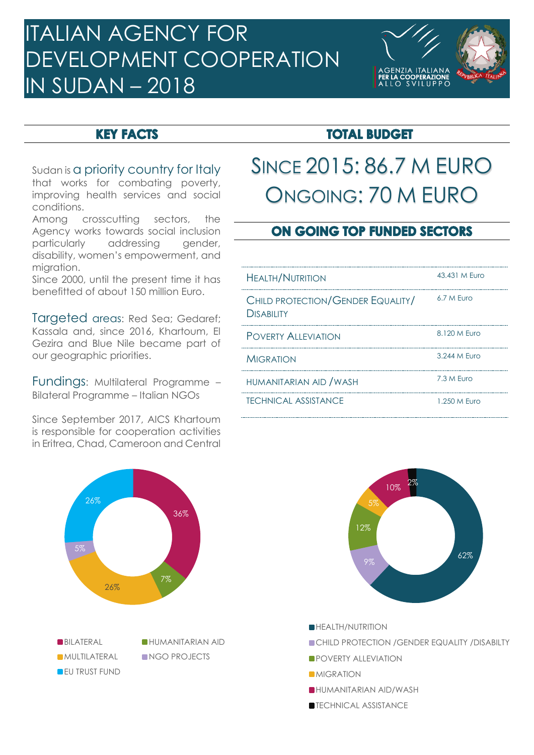# ITALIAN AGENCY FOR DEVELOPMENT COOPERATION IN SUDAN – 2018



#### **KEY FACTS**

Sudan is a priority country for Italy that works for combating poverty, improving health services and social conditions.

Among crosscutting sectors, the Agency works towards social inclusion particularly addressing gender, disability, women's empowerment, and migration.

Since 2000, until the present time it has benefitted of about 150 million Euro.

Taraeted areas: Red Sea; Gedaref; Kassala and, since 2016, Khartoum, El Gezira and Blue Nile became part of our geographic priorities.

Fundings: Multilateral Programme – Bilateral Programme – Italian NGOs

Since September 2017, AICS Khartoum is responsible for cooperation activities in Eritrea, Chad, Cameroon and Central



## **TOTAL BUDGET**

# SINCE 2015: 86.7 M EURO ONGOING: 70 M EURO

### **ON GOING TOP FUNDED SECTORS**

| <b>HEALTH/NUTRITION</b>                                | 43.431 M Furo |
|--------------------------------------------------------|---------------|
| CHILD PROTECTION/GENDER EQUALITY/<br><b>DISABILITY</b> | 6.7 M Furo    |
| <b>POVERTY ALLEVIATION</b>                             | 8.120 M Furo  |
| <b>MIGRATION</b>                                       | 3.244 M Furo  |
| HUMANITARIAN AID / WASH                                | 7.3 M Furo    |
| <b>TECHNICAL ASSISTANCE</b>                            | 1.250 M Furo  |



**CHILD PROTECTION / GENDER EQUALITY / DISABILTY** 

- **POVERTY ALLEVIATION**
- **MIGRATION**
- HUMANITARIAN AID/WASH
- **TECHNICAL ASSISTANCE**